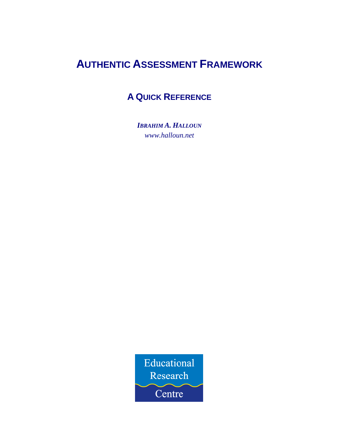# **AUTHENTIC ASSESSMENT FRAMEWORK**

# **A QUICK REFERENCE**

*IBRAHIM A. HALLOUN www.halloun.net* 

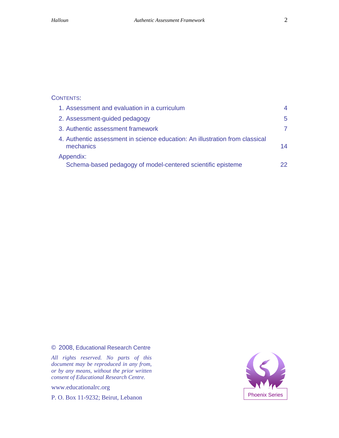# CONTENTS:

| 1. Assessment and evaluation in a curriculum                                              |    |
|-------------------------------------------------------------------------------------------|----|
| 2. Assessment-guided pedagogy                                                             | 5. |
| 3. Authentic assessment framework                                                         |    |
| 4. Authentic assessment in science education: An illustration from classical<br>mechanics | 14 |
| Appendix:<br>Schema-based pedagogy of model-centered scientific episteme                  |    |

© 2008, Educational Research Centre

*All rights reserved. No parts of this document may be reproduced in any from, or by any means, without the prior written consent of Educational Research Centre.*

www.educationalrc.org

P. O. Box 11-9232; Beirut, Lebanon Phoenix Series

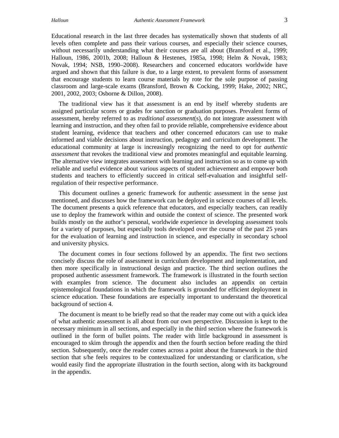Educational research in the last three decades has systematically shown that students of all levels often complete and pass their various courses, and especially their science courses, without necessarily understanding what their courses are all about (Bransford et al., 1999; Halloun, 1986, 2001b, 2008; Halloun & Hestenes, 1985a, 1998; Helm & Novak, 1983; Novak, 1994; NSB, 1990–2008). Researchers and concerned educators worldwide have argued and shown that this failure is due, to a large extent, to prevalent forms of assessment that encourage students to learn course materials by rote for the sole purpose of passing classroom and large-scale exams (Bransford, Brown & Cocking, 1999; Hake, 2002; NRC, 2001, 2002, 2003; Osborne & Dillon, 2008).

 The traditional view has it that assessment is an end by itself whereby students are assigned particular scores or grades for sanction or graduation purposes. Prevalent forms of assessment, hereby referred to as *traditional assessment*(s), do not integrate assessment with learning and instruction, and they often fail to provide reliable, comprehensive evidence about student learning, evidence that teachers and other concerned educators can use to make informed and viable decisions about instruction, pedagogy and curriculum development. The educational community at large is increasingly recognizing the need to opt for *authentic assessment* that revokes the traditional view and promotes meaningful and equitable learning*.* The alternative view integrates assessment with learning and instruction so as to come up with reliable and useful evidence about various aspects of student achievement and empower both students and teachers to efficiently succeed in critical self-evaluation and insightful selfregulation of their respective performance.

 This document outlines a generic framework for authentic assessment in the sense just mentioned, and discusses how the framework can be deployed in science courses of all levels. The document presents a quick reference that educators, and especially teachers, can readily use to deploy the framework within and outside the context of science. The presented work builds mostly on the author's personal, worldwide experience in developing assessment tools for a variety of purposes, but especially tools developed over the course of the past 25 years for the evaluation of learning and instruction in science, and especially in secondary school and university physics.

 The document comes in four sections followed by an appendix. The first two sections concisely discuss the role of assessment in curriculum development and implementation, and then more specifically in instructional design and practice. The third section outlines the proposed authentic assessment framework. The framework is illustrated in the fourth section with examples from science. The document also includes an appendix on certain epistemological foundations in which the framework is grounded for efficient deployment in science education. These foundations are especially important to understand the theoretical background of section 4.

 The document is meant to be briefly read so that the reader may come out with a quick idea of what authentic assessment is all about from our own perspective. Discussion is kept to the necessary minimum in all sections, and especially in the third section where the framework is outlined in the form of bullet points. The reader with little background in assessment is encouraged to skim through the appendix and then the fourth section before reading the third section. Subsequently, once the reader comes across a point about the framework in the third section that s/he feels requires to be contextualized for understanding or clarification, s/he would easily find the appropriate illustration in the fourth section, along with its background in the appendix.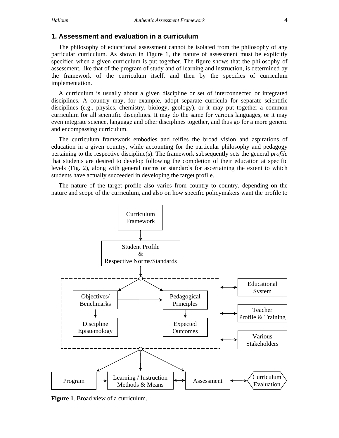# **1. Assessment and evaluation in a curriculum**

 The philosophy of educational assessment cannot be isolated from the philosophy of any particular curriculum. As shown in Figure 1, the nature of assessment must be explicitly specified when a given curriculum is put together. The figure shows that the philosophy of assessment, like that of the program of study and of learning and instruction, is determined by the framework of the curriculum itself, and then by the specifics of curriculum implementation.

 A curriculum is usually about a given discipline or set of interconnected or integrated disciplines. A country may, for example, adopt separate curricula for separate scientific disciplines (e.g., physics, chemistry, biology, geology), or it may put together a common curriculum for all scientific disciplines. It may do the same for various languages, or it may even integrate science, language and other disciplines together, and thus go for a more generic and encompassing curriculum.

 The curriculum framework embodies and reifies the broad vision and aspirations of education in a given country, while accounting for the particular philosophy and pedagogy pertaining to the respective discipline(s). The framework subsequently sets the general *profile* that students are desired to develop following the completion of their education at specific levels (Fig. 2), along with general norms or standards for ascertaining the extent to which students have actually succeeded in developing the target profile.

 The nature of the target profile also varies from country to country, depending on the nature and scope of the curriculum, and also on how specific policymakers want the profile to



**Figure 1**. Broad view of a curriculum.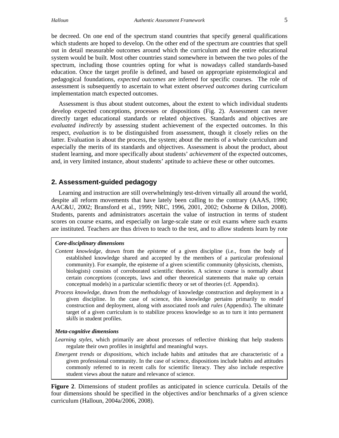be decreed. On one end of the spectrum stand countries that specify general qualifications which students are hoped to develop. On the other end of the spectrum are countries that spell out in detail measurable outcomes around which the curriculum and the entire educational system would be built. Most other countries stand somewhere in between the two poles of the spectrum, including those countries opting for what is nowadays called standards-based education. Once the target profile is defined, and based on appropriate epistemological and pedagogical foundations, *expected outcomes* are inferred for specific courses. The role of assessment is subsequently to ascertain to what extent *observed outcomes* during curriculum implementation match expected outcomes.

 Assessment is thus about student outcomes, about the extent to which individual students develop expected conceptions, processes or dispositions (Fig. 2). Assessment can never directly target educational standards or related objectives. Standards and objectives are *evaluated indirectly* by assessing student achievement of the expected outcomes. In this respect, *evaluation* is to be distinguished from assessment, though it closely relies on the latter. Evaluation is about the process, the system; about the merits of a whole curriculum and especially the merits of its standards and objectives. Assessment is about the product, about student learning, and more specifically about students' *achievement* of the expected outcomes, and, in very limited instance, about students' aptitude to achieve these or other outcomes.

# **2. Assessment-guided pedagogy**

 Learning and instruction are still overwhelmingly test-driven virtually all around the world, despite all reform movements that have lately been calling to the contrary (AAAS, 1990; AAC&U, 2002; Bransford et al., 1999; NRC, 1996, 2001, 2002; Osborne & Dillon, 2008). Students, parents and administrators ascertain the value of instruction in terms of student scores on course exams, and especially on large-scale state or exit exams where such exams are instituted. Teachers are thus driven to teach to the test, and to allow students learn by rote

#### *Core-disciplinary dimensions*

- *Content knowledge*, drawn from the *episteme* of a given discipline (i.e., from the body of established knowledge shared and accepted by the members of a particular professional community). For example, the episteme of a given scientific community (physicists, chemists, biologists) consists of corroborated scientific theories. A science course is normally about certain *conceptions* (concepts, laws and other theoretical statements that make up certain conceptual models) in a particular scientific theory or set of theories (cf. Appendix).
- *Process knowledge*, drawn from the *methodology* of knowledge construction and deployment in a given discipline. In the case of science, this knowledge pertains primarily to *model* construction and deployment, along with associated *tools* and *rules* (Appendix). The ultimate target of a given curriculum is to stabilize process knowledge so as to turn it into permanent *skills* in student profiles.

#### *Meta-cognitive dimensions*

- *Learning styles*, which primarily are about processes of reflective thinking that help students regulate their own profiles in insightful and meaningful ways.
- *Emergent trends* or *dispositions*, which include habits and attitudes that are characteristic of a given professional community. In the case of science, dispositions include habits and attitudes commonly referred to in recent calls for scientific literacy. They also include respective student views about the nature and relevance of science.

**Figure 2**. Dimensions of student profiles as anticipated in science curricula. Details of the four dimensions should be specified in the objectives and/or benchmarks of a given science curriculum (Halloun, 2004a/2006, 2008).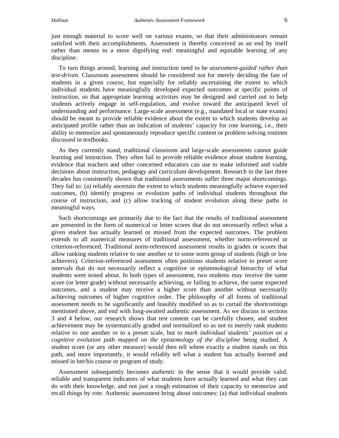just enough material to score well on various exams, so that their administrators remain satisfied with their accomplishments. Assessment is thereby conceived as an end by itself rather than means to a more dignifying end: meaningful and equitable learning of any discipline.

 To turn things around, learning and instruction need to be *assessment-guided rather than test-driven*. Classroom assessment should be considered not for merely deciding the fate of students in a given course, but especially for reliably ascertaining the extent to which individual students have meaningfully developed expected outcomes at specific points of instruction, so that appropriate learning activities may be designed and carried out to help students actively engage in self-regulation, and evolve toward the anticipated level of understanding and performance. Large-scale assessment (e.g., mandated local or state exams) should be meant to provide reliable evidence about the extent to which students develop an anticipated profile rather than an indication of students' capacity for rote learning, i.e., their ability to memorize and spontaneously reproduce specific content or problem solving routines discussed in textbooks.

 As they currently stand, traditional classroom and large-scale assessments cannot guide learning and instruction. They often fail to provide reliable evidence about student learning, evidence that teachers and other concerned educators can use to make informed and viable decisions about instruction, pedagogy and curriculum development. Research in the last three decades has consistently shown that traditional assessments suffer three major shortcomings. They fail to: (a) reliably ascertain the extent to which students meaningfully achieve expected outcomes, (b) identify progress or evolution paths of individual students throughout the course of instruction, and (c) allow tracking of student evolution along these paths in meaningful ways.

 Such shortcomings are primarily due to the fact that the results of traditional assessment are presented in the form of numerical or letter scores that do not necessarily reflect what a given student has actually learned or missed from the expected outcomes. The problem extends to all numerical measures of traditional assessment, whether norm-referenced or criterion-referenced. Traditional norm-referenced assessment results in grades or scores that allow ranking students relative to one another or to some norm group of students (high or low achievers). Criterion-referenced assessment often positions students relative to preset score intervals that do not necessarily reflect a cognitive or epistemological hierarchy of what students were tested about. In both types of assessment, two students may receive the same score (or letter grade) without necessarily achieving, or failing to achieve, the same expected outcomes, and a student may receive a higher score than another without necessarily achieving outcomes of higher cognitive order. The philosophy of all forms of traditional assessment needs to be significantly and feasibly modified so as to curtail the shortcomings mentioned above, and end with long-awaited authentic assessment. As we discuss in sections 3 and 4 below, our research shows that test content can be carefully chosen, and student achievement may be systematically graded and normalized so as not to merely rank students relative to one another or to a preset scale, but to *mark individual students' position on a cognitive evolution path mapped on the epistemology of the discipline* being studied. A student score (or any other measure) would then tell where exactly a student stands on this path, and more importantly, it would reliably tell what a student has actually learned and missed in her/his course or program of study.

 Assessment subsequently becomes *authentic* in the sense that it would provide valid, reliable and transparent indicators of what students have actually learned and what they can do with their knowledge, and not just a rough estimation of their capacity to memorize and recall things by rote. Authentic assessment bring about outcomes: (a) that individual students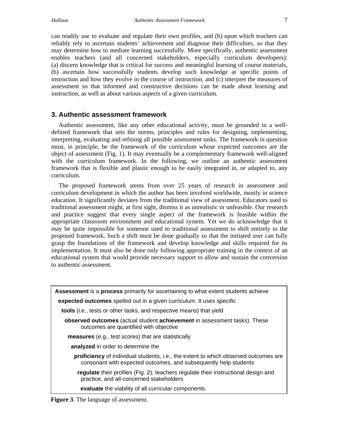can readily use to evaluate and regulate their own profiles, and (b) upon which teachers can reliably rely to ascertain students' achievement and diagnose their difficulties, so that they may determine how to mediate learning successfully. More specifically, authentic assessment enables teachers (and all concerned stakeholders, especially curriculum developers): (a) discern knowledge that is critical for success and meaningful learning of course materials, (b) ascertain how successfully students develop such knowledge at specific points of instruction and how they evolve in the course of instruction, and (c) interpret the measures of assessment so that informed and constructive decisions can be made about learning and instruction, as well as about various aspects of a given curriculum.

# **3. Authentic assessment framework**

 Authentic assessment, like any other educational activity, must be grounded in a welldefined framework that sets the norms, principles and rules for designing, implementing, interpreting, evaluating and refining all possible assessment tasks. The framework in question must, in principle, be the framework of the curriculum whose expected outcomes are the object of assessment (Fig. 1). It may eventually be a complementary framework well-aligned with the curriculum framework. In the following, we outline an authentic assessment framework that is flexible and plastic enough to be easily integrated in, or adapted to, any curriculum.

 The proposed framework stems from over 25 years of research in assessment and curriculum development in which the author has been involved worldwide, mostly in science education. It significantly deviates from the traditional view of assessment. Educators used to traditional assessment might, at first sight, dismiss it as unrealistic or unfeasible. Our research and practice suggest that every single aspect of the framework is feasible within the appropriate classroom environment and educational system. Yet we do acknowledge that it may be quite impossible for someone used to traditional assessment to shift entirely to the proposed framework. Such a shift must be done gradually so that the initiated user can fully grasp the foundations of the framework and develop knowledge and skills required for its implementation. It must also be done only following appropriate training in the context of an educational system that would provide necessary support to allow and sustain the conversion to authentic assessment.

**Assessment** is a **process** primarily for ascertaining to what extent students achieve  **expected outcomes** spelled out in a given curriculum. It uses specific  **tools** (i.e., tests or other tasks, and respective means) that yield  **observed outcomes** (actual student **achievement** in assessment tasks). These outcomes are quantified with objective  **measures** (e.g., test scores) that are statistically  **analyzed** in order to determine the  **proficiency** of individual students, i.e., the extent to which observed outcomes are consonant with expected outcomes, and subsequently help students  **regulate** their profiles (Fig. 2), teachers regulate their instructional design and practice, and all concerned stakeholders  **evaluate** the viability of all curricular components.

**Figure 3**. The language of assessment.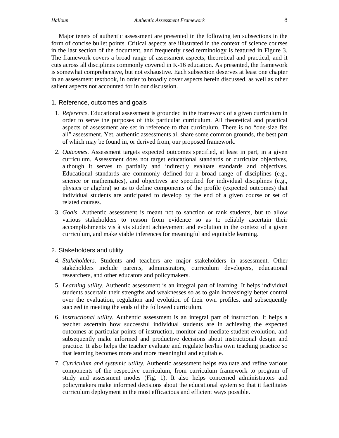Major tenets of authentic assessment are presented in the following ten subsections in the form of concise bullet points. Critical aspects are illustrated in the context of science courses in the last section of the document, and frequently used terminology is featured in Figure 3. The framework covers a broad range of assessment aspects, theoretical and practical, and it cuts across all disciplines commonly covered in K-16 education. As presented, the framework is somewhat comprehensive, but not exhaustive. Each subsection deserves at least one chapter in an assessment textbook, in order to broadly cover aspects herein discussed, as well as other salient aspects not accounted for in our discussion.

#### 1. Reference, outcomes and goals

- 1. *Reference*. Educational assessment is grounded in the framework of a given curriculum in order to serve the purposes of this particular curriculum. All theoretical and practical aspects of assessment are set in reference to that curriculum. There is no "one-size fits all" assessment. Yet, authentic assessments all share some common grounds, the best part of which may be found in, or derived from, our proposed framework.
- 2. *Outcomes*. Assessment targets expected outcomes specified, at least in part, in a given curriculum. Assessment does not target educational standards or curricular objectives, although it serves to partially and indirectly evaluate standards and objectives. Educational standards are commonly defined for a broad range of disciplines (e.g., science or mathematics), and objectives are specified for individual disciplines (e.g., physics or algebra) so as to define components of the profile (expected outcomes) that individual students are anticipated to develop by the end of a given course or set of related courses.
- 3. *Goals*. Authentic assessment is meant not to sanction or rank students, but to allow various stakeholders to reason from evidence so as to reliably ascertain their accomplishments vis à vis student achievement and evolution in the context of a given curriculum, and make viable inferences for meaningful and equitable learning.

#### 2. Stakeholders and utility

- 4. *Stakeholders*. Students and teachers are major stakeholders in assessment. Other stakeholders include parents, administrators, curriculum developers, educational researchers, and other educators and policymakers.
- 5. *Learning utility*. Authentic assessment is an integral part of learning. It helps individual students ascertain their strengths and weaknesses so as to gain increasingly better control over the evaluation, regulation and evolution of their own profiles, and subsequently succeed in meeting the ends of the followed curriculum.
- 6. *Instructional utility*. Authentic assessment is an integral part of instruction. It helps a teacher ascertain how successful individual students are in achieving the expected outcomes at particular points of instruction, monitor and mediate student evolution, and subsequently make informed and productive decisions about instructional design and practice. It also helps the teacher evaluate and regulate her/his own teaching practice so that learning becomes more and more meaningful and equitable.
- 7. *Curriculum and systemic utility*. Authentic assessment helps evaluate and refine various components of the respective curriculum, from curriculum framework to program of study and assessment modes (Fig. 1). It also helps concerned administrators and policymakers make informed decisions about the educational system so that it facilitates curriculum deployment in the most efficacious and efficient ways possible.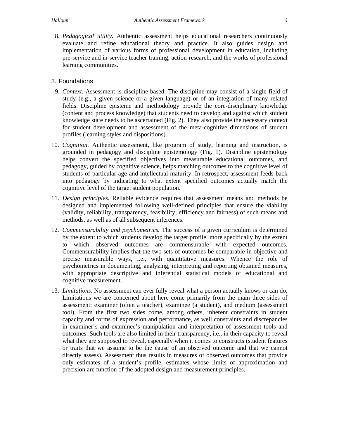8. *Pedagogical utility*. Authentic assessment helps educational researchers continuously evaluate and refine educational theory and practice. It also guides design and implementation of various forms of professional development in education, including pre-service and in-service teacher training, action-research, and the works of professional learning communities.

# 3. Foundations

- 9. *Context*. Assessment is discipline-based. The discipline may consist of a single field of study (e.g., a given science or a given language) or of an integration of many related fields. Discipline episteme and methodology provide the core-disciplinary knowledge (content and process knowledge) that students need to develop and against which student knowledge state needs to be ascertained (Fig. 2). They also provide the necessary context for student development and assessment of the meta-cognitive dimensions of student profiles (learning styles and dispositions).
- 10. *Cognition*. Authentic assessment, like program of study, learning and instruction, is grounded in pedagogy and discipline epistemology (Fig. 1). Discipline epistemology helps convert the specified objectives into measurable educational outcomes, and pedagogy, guided by cognitive science, helps matching outcomes to the cognitive level of students of particular age and intellectual maturity. In retrospect, assessment feeds back into pedagogy by indicating to what extent specified outcomes actually match the cognitive level of the target student population.
- 11. *Design principles*. Reliable evidence requires that assessment means and methods be designed and implemented following well-defined principles that ensure the viability (validity, reliability, transparency, feasibility, efficiency and fairness) of such means and methods, as well as of all subsequent inferences.
- 12. *Commensurability and psychometrics.* The success of a given curriculum is determined by the extent to which students develop the target profile, more specifically by the extent to which observed outcomes are commensurable with expected outcomes. Commensurability implies that the two sets of outcomes be comparable in objective and precise measurable ways, i.e., with quantitative measures. Whence the role of psychometrics in documenting, analyzing, interpreting and reporting obtained measures, with appropriate descriptive and inferential statistical models of educational and cognitive measurement.
- 13. *Limitations*. No assessment can ever fully reveal what a person actually knows or can do. Limitations we are concerned about here come primarily from the main three sides of assessment: examiner (often a teacher), examinee (a student), and medium (assessment tool). From the first two sides come, among others, inherent constraints in student capacity and forms of expression and performance, as well constraints and discrepancies in examiner's and examinee's manipulation and interpretation of assessment tools and outcomes. Such tools are also limited in their transparency, i.e., in their capacity to reveal what they are supposed to reveal, especially when it comes to constructs (student features or traits that we assume to be the cause of an observed outcome and that we cannot directly assess). Assessment thus results in measures of observed outcomes that provide only estimates of a student's profile, estimates whose limits of approximation and precision are function of the adopted design and measurement principles.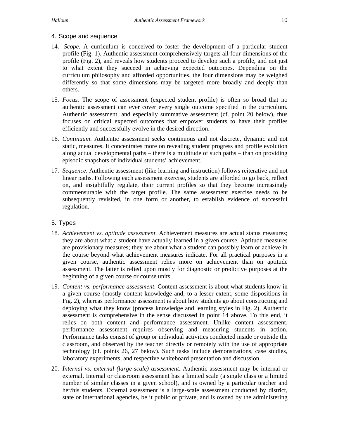### 4. Scope and sequence

- 14. *Scope*. A curriculum is conceived to foster the development of a particular student profile (Fig. 1). Authentic assessment comprehensively targets all four dimensions of the profile (Fig. 2), and reveals how students proceed to develop such a profile, and not just to what extent they succeed in achieving expected outcomes. Depending on the curriculum philosophy and afforded opportunities, the four dimensions may be weighed differently so that some dimensions may be targeted more broadly and deeply than others.
- 15. *Focus.* The scope of assessment (expected student profile) is often so broad that no authentic assessment can ever cover every single outcome specified in the curriculum. Authentic assessment, and especially summative assessment (cf. point 20 below), thus focuses on critical expected outcomes that empower students to have their profiles efficiently and successfully evolve in the desired direction.
- 16. *Continuum*. Authentic assessment seeks continuous and not discrete, dynamic and not static, measures. It concentrates more on revealing student progress and profile evolution along actual developmental paths – there is a multitude of such paths – than on providing episodic snapshots of individual students' achievement.
- 17. *Sequence*. Authentic assessment (like learning and instruction) follows reiterative and not linear paths. Following each assessment exercise, students are afforded to go back, reflect on, and insightfully regulate, their current profiles so that they become increasingly commensurable with the target profile. The same assessment exercise needs to be subsequently revisited, in one form or another, to establish evidence of successful regulation.

# 5. Types

- 18. *Achievement vs. aptitude assessment.* Achievement measures are actual status measures; they are about what a student have actually learned in a given course. Aptitude measures are provisionary measures; they are about what a student can possibly learn or achieve in the course beyond what achievement measures indicate. For all practical purposes in a given course, authentic assessment relies more on achievement than on aptitude assessment. The latter is relied upon mostly for diagnostic or predictive purposes at the beginning of a given course or course units.
- 19. *Content vs. performance assessment*. Content assessment is about what students know in a given course (mostly content knowledge and, to a lesser extent, some dispositions in Fig. 2), whereas performance assessment is about how students go about constructing and deploying what they know (process knowledge and learning styles in Fig. 2). Authentic assessment is comprehensive in the sense discussed in point 14 above. To this end, it relies on both content and performance assessment. Unlike content assessment, performance assessment requires observing and measuring students in action. Performance tasks consist of group or individual activities conducted inside or outside the classroom, and observed by the teacher directly or remotely with the use of appropriate technology (cf. points 26, 27 below). Such tasks include demonstrations, case studies, laboratory experiments, and respective whiteboard presentation and discussion.
- 20. *Internal vs. external (large-scale) assessment*. Authentic assessment may be internal or external. Internal or classroom assessment has a limited scale (a single class or a limited number of similar classes in a given school), and is owned by a particular teacher and her/his students. External assessment is a large-scale assessment conducted by district, state or international agencies, be it public or private, and is owned by the administering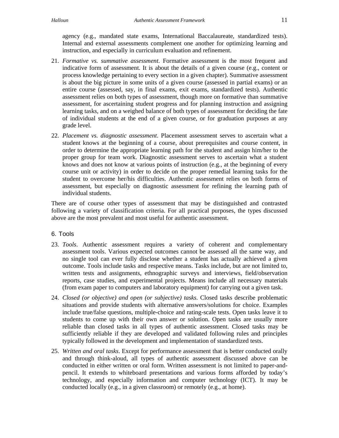agency (e.g., mandated state exams, International Baccalaureate, standardized tests). Internal and external assessments complement one another for optimizing learning and instruction, and especially in curriculum evaluation and refinement.

- 21. *Formative vs. summative assessment*. Formative assessment is the most frequent and indicative form of assessment. It is about the details of a given course (e.g., content or process knowledge pertaining to every section in a given chapter). Summative assessment is about the big picture in some units of a given course (assessed in partial exams) or an entire course (assessed, say, in final exams, exit exams, standardized tests). Authentic assessment relies on both types of assessment, though more on formative than summative assessment, for ascertaining student progress and for planning instruction and assigning learning tasks, and on a weighed balance of both types of assessment for deciding the fate of individual students at the end of a given course, or for graduation purposes at any grade level.
- 22. *Placement vs. diagnostic assessment*. Placement assessment serves to ascertain what a student knows at the beginning of a course, about prerequisites and course content, in order to determine the appropriate learning path for the student and assign him/her to the proper group for team work. Diagnostic assessment serves to ascertain what a student knows and does not know at various points of instruction (e.g., at the beginning of every course unit or activity) in order to decide on the proper remedial learning tasks for the student to overcome her/his difficulties. Authentic assessment relies on both forms of assessment, but especially on diagnostic assessment for refining the learning path of individual students.

There are of course other types of assessment that may be distinguished and contrasted following a variety of classification criteria. For all practical purposes, the types discussed above are the most prevalent and most useful for authentic assessment.

# 6. Tools

- 23. *Tools*. Authentic assessment requires a variety of coherent and complementary assessment tools. Various expected outcomes cannot be assessed all the same way, and no single tool can ever fully disclose whether a student has actually achieved a given outcome. Tools include tasks and respective means. Tasks include, but are not limited to, written tests and assignments, ethnographic surveys and interviews, field/observation reports, case studies, and experimental projects. Means include all necessary materials (from exam paper to computers and laboratory equipment) for carrying out a given task.
- 24. *Closed (or objective) and open (or subjective) tasks.* Closed tasks describe problematic situations and provide students with alternative answers/solutions for choice. Examples include true/false questions, multiple-choice and rating-scale tests. Open tasks leave it to students to come up with their own answer or solution. Open tasks are usually more reliable than closed tasks in all types of authentic assessment. Closed tasks may be sufficiently reliable if they are developed and validated following rules and principles typically followed in the development and implementation of standardized tests.
- 25. *Written and oral tasks*. Except for performance assessment that is better conducted orally and through think-aloud, all types of authentic assessment discussed above can be conducted in either written or oral form. Written assessment is not limited to paper-andpencil. It extends to whiteboard presentations and various forms afforded by today's technology, and especially information and computer technology (ICT). It may be conducted locally (e.g., in a given classroom) or remotely (e.g., at home).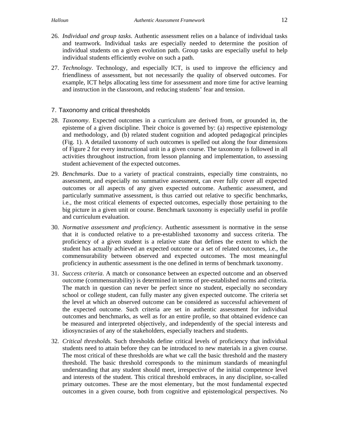- 26. *Individual and group tasks*. Authentic assessment relies on a balance of individual tasks and teamwork. Individual tasks are especially needed to determine the position of individual students on a given evolution path. Group tasks are especially useful to help individual students efficiently evolve on such a path.
- 27. *Technology*. Technology, and especially ICT, is used to improve the efficiency and friendliness of assessment, but not necessarily the quality of observed outcomes. For example, ICT helps allocating less time for assessment and more time for active learning and instruction in the classroom, and reducing students' fear and tension.

### 7. Taxonomy and critical thresholds

- 28. *Taxonomy*. Expected outcomes in a curriculum are derived from, or grounded in, the episteme of a given discipline. Their choice is governed by: (a) respective epistemology and methodology, and (b) related student cognition and adopted pedagogical principles (Fig. 1). A detailed taxonomy of such outcomes is spelled out along the four dimensions of Figure 2 for every instructional unit in a given course. The taxonomy is followed in all activities throughout instruction, from lesson planning and implementation, to assessing student achievement of the expected outcomes.
- 29. *Benchmarks*. Due to a variety of practical constraints, especially time constraints, no assessment, and especially no summative assessment, can ever fully cover all expected outcomes or all aspects of any given expected outcome. Authentic assessment, and particularly summative assessment, is thus carried out relative to specific benchmarks, i.e., the most critical elements of expected outcomes, especially those pertaining to the big picture in a given unit or course. Benchmark taxonomy is especially useful in profile and curriculum evaluation.
- 30. *Normative assessment and proficiency*. Authentic assessment is normative in the sense that it is conducted relative to a pre-established taxonomy and success criteria. The proficiency of a given student is a relative state that defines the extent to which the student has actually achieved an expected outcome or a set of related outcomes, i.e., the commensurability between observed and expected outcomes. The most meaningful proficiency in authentic assessment is the one defined in terms of benchmark taxonomy.
- 31. *Success criteria*. A match or consonance between an expected outcome and an observed outcome (commensurability) is determined in terms of pre-established norms and criteria. The match in question can never be perfect since no student, especially no secondary school or college student, can fully master any given expected outcome. The criteria set the level at which an observed outcome can be considered as successful achievement of the expected outcome. Such criteria are set in authentic assessment for individual outcomes and benchmarks, as well as for an entire profile, so that obtained evidence can be measured and interpreted objectively, and independently of the special interests and idiosyncrasies of any of the stakeholders, especially teachers and students.
- 32. *Critical thresholds.* Such thresholds define critical levels of proficiency that individual students need to attain before they can be introduced to new materials in a given course. The most critical of these thresholds are what we call the basic threshold and the mastery threshold. The basic threshold corresponds to the minimum standards of meaningful understanding that any student should meet, irrespective of the initial competence level and interests of the student. This critical threshold embraces, in any discipline, so-called primary outcomes. These are the most elementary, but the most fundamental expected outcomes in a given course, both from cognitive and epistemological perspectives. No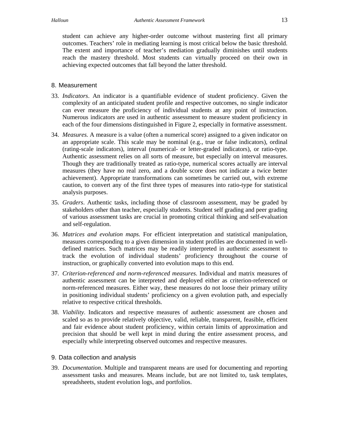student can achieve any higher-order outcome without mastering first all primary outcomes. Teachers' role in mediating learning is most critical below the basic threshold. The extent and importance of teacher's mediation gradually diminishes until students reach the mastery threshold. Most students can virtually proceed on their own in achieving expected outcomes that fall beyond the latter threshold.

#### 8. Measurement

- 33. *Indicators*. An indicator is a quantifiable evidence of student proficiency. Given the complexity of an anticipated student profile and respective outcomes, no single indicator can ever measure the proficiency of individual students at any point of instruction. Numerous indicators are used in authentic assessment to measure student proficiency in each of the four dimensions distinguished in Figure 2, especially in formative assessment.
- 34. *Measures.* A measure is a value (often a numerical score) assigned to a given indicator on an appropriate scale. This scale may be nominal (e.g., true or false indicators), ordinal (rating-scale indicators), interval (numerical- or letter-graded indicators), or ratio-type. Authentic assessment relies on all sorts of measure, but especially on interval measures. Though they are traditionally treated as ratio-type, numerical scores actually are interval measures (they have no real zero, and a double score does not indicate a twice better achievement). Appropriate transformations can sometimes be carried out, with extreme caution, to convert any of the first three types of measures into ratio-type for statistical analysis purposes.
- 35. *Graders*. Authentic tasks, including those of classroom assessment, may be graded by stakeholders other than teacher, especially students. Student self grading and peer grading of various assessment tasks are crucial in promoting critical thinking and self-evaluation and self-regulation.
- 36. *Matrices and evolution maps.* For efficient interpretation and statistical manipulation, measures corresponding to a given dimension in student profiles are documented in welldefined matrices. Such matrices may be readily interpreted in authentic assessment to track the evolution of individual students' proficiency throughout the course of instruction, or graphically converted into evolution maps to this end.
- 37. *Criterion-referenced and norm-referenced measures*. Individual and matrix measures of authentic assessment can be interpreted and deployed either as criterion-referenced or norm-referenced measures. Either way, these measures do not loose their primary utility in positioning individual students' proficiency on a given evolution path, and especially relative to respective critical thresholds.
- 38. *Viability*. Indicators and respective measures of authentic assessment are chosen and scaled so as to provide relatively objective, valid, reliable, transparent, feasible, efficient and fair evidence about student proficiency, within certain limits of approximation and precision that should be well kept in mind during the entire assessment process, and especially while interpreting observed outcomes and respective measures.

#### 9. Data collection and analysis

39. *Documentation*. Multiple and transparent means are used for documenting and reporting assessment tasks and measures. Means include, but are not limited to, task templates, spreadsheets, student evolution logs, and portfolios.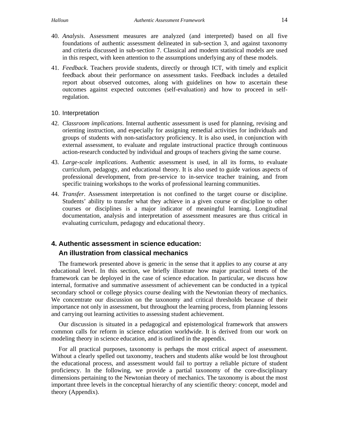- 40. *Analysis*. Assessment measures are analyzed (and interpreted) based on all five foundations of authentic assessment delineated in sub-section 3, and against taxonomy and criteria discussed in sub-section 7. Classical and modern statistical models are used in this respect, with keen attention to the assumptions underlying any of these models.
- 41. *Feedback*. Teachers provide students, directly or through ICT, with timely and explicit feedback about their performance on assessment tasks. Feedback includes a detailed report about observed outcomes, along with guidelines on how to ascertain these outcomes against expected outcomes (self-evaluation) and how to proceed in selfregulation.
- 10. Interpretation
- 42. *Classroom implications*. Internal authentic assessment is used for planning, revising and orienting instruction, and especially for assigning remedial activities for individuals and groups of students with non-satisfactory proficiency. It is also used, in conjunction with external assessment, to evaluate and regulate instructional practice through continuous action-research conducted by individual and groups of teachers giving the same course.
- 43. *Large-scale implications*. Authentic assessment is used, in all its forms, to evaluate curriculum, pedagogy, and educational theory. It is also used to guide various aspects of professional development, from pre-service to in-service teacher training, and from specific training workshops to the works of professional learning communities.
- 44. *Transfer*. Assessment interpretation is not confined to the target course or discipline. Students' ability to transfer what they achieve in a given course or discipline to other courses or disciplines is a major indicator of meaningful learning. Longitudinal documentation, analysis and interpretation of assessment measures are thus critical in evaluating curriculum, pedagogy and educational theory.

# **4. Authentic assessment in science education: An illustration from classical mechanics**

 The framework presented above is generic in the sense that it applies to any course at any educational level. In this section, we briefly illustrate how major practical tenets of the framework can be deployed in the case of science education. In particular, we discuss how internal, formative and summative assessment of achievement can be conducted in a typical secondary school or college physics course dealing with the Newtonian theory of mechanics. We concentrate our discussion on the taxonomy and critical thresholds because of their importance not only in assessment, but throughout the learning process, from planning lessons and carrying out learning activities to assessing student achievement.

 Our discussion is situated in a pedagogical and epistemological framework that answers common calls for reform in science education worldwide. It is derived from our work on modeling theory in science education, and is outlined in the appendix.

 For all practical purposes, taxonomy is perhaps the most critical aspect of assessment. Without a clearly spelled out taxonomy, teachers and students alike would be lost throughout the educational process, and assessment would fail to portray a reliable picture of student proficiency. In the following, we provide a partial taxonomy of the core-disciplinary dimensions pertaining to the Newtonian theory of mechanics. The taxonomy is about the most important three levels in the conceptual hierarchy of any scientific theory: concept, model and theory (Appendix).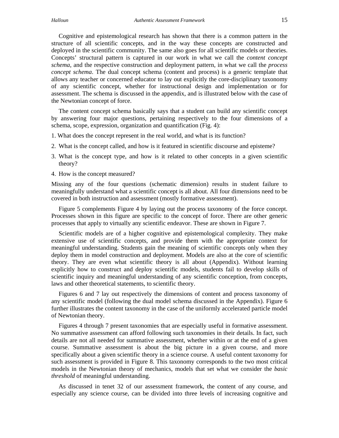Cognitive and epistemological research has shown that there is a common pattern in the structure of all scientific concepts, and in the way these concepts are constructed and deployed in the scientific community. The same also goes for all scientific models or theories. Concepts' structural pattern is captured in our work in what we call the *content concept schema*, and the respective construction and deployment pattern, in what we call the *process concept schema*. The dual concept schema (content and process) is a generic template that allows any teacher or concerned educator to lay out explicitly the core-disciplinary taxonomy of any scientific concept, whether for instructional design and implementation or for assessment. The schema is discussed in the appendix, and is illustrated below with the case of the Newtonian concept of force.

 The content concept schema basically says that a student can build any scientific concept by answering four major questions, pertaining respectively to the four dimensions of a schema, scope, expression, organization and quantification (Fig. 4):

- 1. What does the concept represent in the real world, and what is its function?
- 2. What is the concept called, and how is it featured in scientific discourse and episteme?
- 3. What is the concept type, and how is it related to other concepts in a given scientific theory?
- 4. How is the concept measured?

Missing any of the four questions (schematic dimension) results in student failure to meaningfully understand what a scientific concept is all about. All four dimensions need to be covered in both instruction and assessment (mostly formative assessment).

 Figure 5 complements Figure 4 by laying out the process taxonomy of the force concept. Processes shown in this figure are specific to the concept of force. There are other generic processes that apply to virtually any scientific endeavor. These are shown in Figure 7.

 Scientific models are of a higher cognitive and epistemological complexity. They make extensive use of scientific concepts, and provide them with the appropriate context for meaningful understanding. Students gain the meaning of scientific concepts only when they deploy them in model construction and deployment. Models are also at the core of scientific theory. They are even what scientific theory is all about (Appendix). Without learning explicitly how to construct and deploy scientific models, students fail to develop skills of scientific inquiry and meaningful understanding of any scientific conception, from concepts, laws and other theoretical statements, to scientific theory.

 Figures 6 and 7 lay out respectively the dimensions of content and process taxonomy of any scientific model (following the dual model schema discussed in the Appendix). Figure 6 further illustrates the content taxonomy in the case of the uniformly accelerated particle model of Newtonian theory.

 Figures 4 through 7 present taxonomies that are especially useful in formative assessment. No summative assessment can afford following such taxonomies in their details. In fact, such details are not all needed for summative assessment, whether within or at the end of a given course. Summative assessment is about the big picture in a given course, and more specifically about a given scientific theory in a science course. A useful content taxonomy for such assessment is provided in Figure 8. This taxonomy corresponds to the two most critical models in the Newtonian theory of mechanics, models that set what we consider the *basic threshold* of meaningful understanding.

 As discussed in tenet 32 of our assessment framework, the content of any course, and especially any science course, can be divided into three levels of increasing cognitive and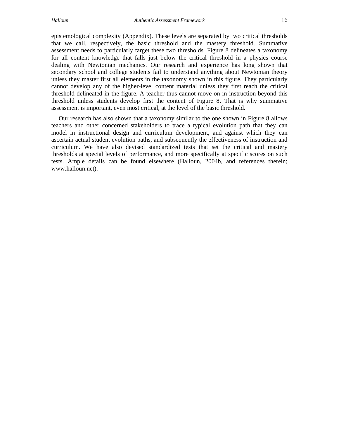epistemological complexity (Appendix). These levels are separated by two critical thresholds that we call, respectively, the basic threshold and the mastery threshold. Summative assessment needs to particularly target these two thresholds. Figure 8 delineates a taxonomy for all content knowledge that falls just below the critical threshold in a physics course dealing with Newtonian mechanics. Our research and experience has long shown that secondary school and college students fail to understand anything about Newtonian theory unless they master first all elements in the taxonomy shown in this figure. They particularly cannot develop any of the higher-level content material unless they first reach the critical threshold delineated in the figure. A teacher thus cannot move on in instruction beyond this threshold unless students develop first the content of Figure 8. That is why summative assessment is important, even most critical, at the level of the basic threshold.

 Our research has also shown that a taxonomy similar to the one shown in Figure 8 allows teachers and other concerned stakeholders to trace a typical evolution path that they can model in instructional design and curriculum development, and against which they can ascertain actual student evolution paths, and subsequently the effectiveness of instruction and curriculum. We have also devised standardized tests that set the critical and mastery thresholds at special levels of performance, and more specifically at specific scores on such tests. Ample details can be found elsewhere (Halloun, 2004b, and references therein; www.halloun.net).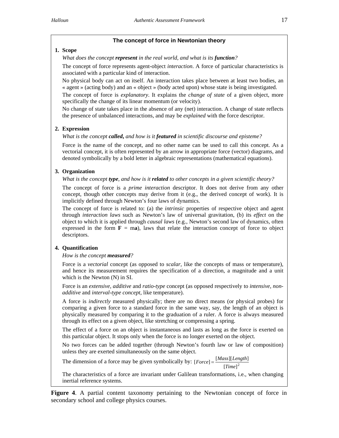### **The concept of force in Newtonian theory**

#### **1. Scope**

*What does the concept represent in the real world, and what is its function?* 

The concept of force represents agent-object *interaction*. A force of particular characteristics is associated with a particular kind of interaction.

No physical body can act on itself. An interaction takes place between at least two bodies, an « agent » (acting body) and an « object » (body acted upon) whose state is being investigated.

The concept of force is *explanatory*. It explains the *change of state* of a given object, more specifically the change of its linear momentum (or velocity).

No change of state takes place in the absence of any (net) interaction. A change of state reflects the presence of unbalanced interactions, and may be *explained* with the force descriptor.

#### **2. Expression**

*What is the concept called***,** *and how is it featured in scientific discourse and episteme?* 

Force is the name of the concept, and no other name can be used to call this concept. As a vectorial concept, it is often represented by an arrow in appropriate force (vector) diagrams, and denoted symbolically by a bold letter in algebraic representations (mathematical equations).

#### **3. Organization**

*What is the concept type, and how is it related to other concepts in a given scientific theory?* 

The concept of force is a *prime interaction* descriptor. It does not derive from any other concept, though other concepts may derive from it (e.g., the derived concept of work). It is implicitly defined through Newton's four laws of dynamics.

The concept of force is related to: (a) the *intrinsic* properties of respective object and agent through *interaction laws* such as Newton's law of universal gravitation, (b) its *effect* on the object to which it is applied through *causal laws* (e.g., Newton's second law of dynamics, often expressed in the form  $\mathbf{F} = \mathbf{ma}$ ), laws that relate the interaction concept of force to object descriptors.

#### **4. Quantification**

#### *How is the concept measured?*

Force is a *vectorial* concept (as opposed to *scalar,* like the concepts of mass or temperature), and hence its measurement requires the specification of a direction, a magnitude and a unit which is the Newton (N) in SI.

Force is an *extensive, additive* and *ratio-type* concept (as opposed respectively to *intensive*, *nonadditive* and *interval-type concept*, like temperature).

A force is *indirectly* measured physically; there are no direct means (or physical probes) for comparing a given force to a standard force in the same way, say, the length of an object is physically measured by comparing it to the graduation of a ruler. A force is always measured through its effect on a given object, like stretching or compressing a spring.

The effect of a force on an object is instantaneous and lasts as long as the force is exerted on this particular object. It stops only when the force is no longer exerted on the object.

No two forces can be added together (through Newton's fourth law or law of composition) unless they are exerted simultaneously on the same object.

The dimension of a force may be given symbolically by:  $[Force] = \frac{[Mass][Length]}{[Time]^2}$ *Time*  $\emph{Force}$  =  $\frac{[Mass][Length]}{2}$ 

The characteristics of a force are invariant under Galilean transformations, i.e., when changing inertial reference systems.

**Figure 4**. A partial content taxonomy pertaining to the Newtonian concept of force in secondary school and college physics courses.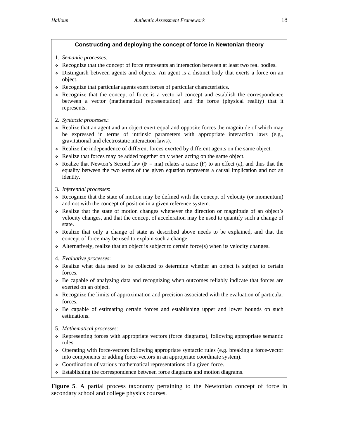### **Constructing and deploying the concept of force in Newtonian theory**

- 1. *Semantic processes*.:
- Recognize that the concept of force represents an interaction between at least two real bodies.
- Distinguish between agents and objects. An agent is a distinct body that exerts a force on an object.
- Recognize that particular agents exert forces of particular characteristics.
- Recognize that the concept of force is a vectorial concept and establish the correspondence between a vector (mathematical representation) and the force (physical reality) that it represents.
- 2. *Syntactic processes*.:
- Realize that an agent and an object exert equal and opposite forces the magnitude of which may be expressed in terms of intrinsic parameters with appropriate interaction laws (e.g., gravitational and electrostatic interaction laws).
- Realize the independence of different forces exerted by different agents on the same object.
- Realize that forces may be added together only when acting on the same object.
- $\div$  Realize that Newton's Second law ( $\bf{F} = m\bf{a}$ ) relates a cause (F) to an effect (a), and thus that the equality between the two terms of the given equation represents a causal implication and not an identity.
- 3. *Inferential processes*:
- Recognize that the state of motion may be defined with the concept of velocity (or momentum) and not with the concept of position in a given reference system.
- Realize that the state of motion changes whenever the direction or magnitude of an object's velocity changes, and that the concept of acceleration may be used to quantify such a change of state.
- Realize that only a change of state as described above needs to be explained, and that the concept of force may be used to explain such a change.
- Alternatively, realize that an object is subject to certain force(s) when its velocity changes.
- 4. *Evaluative processes*:
- Realize what data need to be collected to determine whether an object is subject to certain forces.
- Be capable of analyzing data and recognizing when outcomes reliably indicate that forces are exerted on an object.
- Recognize the limits of approximation and precision associated with the evaluation of particular forces.
- Be capable of estimating certain forces and establishing upper and lower bounds on such estimations.
- 5. *Mathematical processes*:
- Representing forces with appropriate vectors (force diagrams), following appropriate semantic rules.
- Operating with force-vectors following appropriate syntactic rules (e.g. breaking a force-vector into components or adding force-vectors in an appropriate coordinate system).
- Coordination of various mathematical representations of a given force.
- Establishing the correspondence between force diagrams and motion diagrams.

**Figure 5**. A partial process taxonomy pertaining to the Newtonian concept of force in secondary school and college physics courses.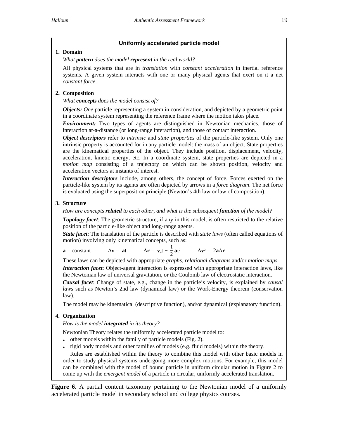### **Uniformly accelerated particle model**

#### **1. Domain**

*What pattern does the model represent in the real world?* 

All physical systems that are in *translation* with *constant acceleration* in inertial reference systems. A given system interacts with one or many physical agents that exert on it a net *constant force*.

### **2. Composition**

#### *What concepts does the model consist of?*

*Objects: One* particle representing a system in consideration, and depicted by a geometric point in a coordinate system representing the reference frame where the motion takes place.

*Environment:* Two types of agents are distinguished in Newtonian mechanics, those of interaction at-a-distance (or long-range interaction), and those of contact interaction.

 *Object descriptors* refer to *intrinsic* and *state properties* of the particle-like system. Only one intrinsic property is accounted for in any particle model: the mass of an object. State properties are the kinematical properties of the object. They include position, displacement, velocity, acceleration, kinetic energy, etc. In a coordinate system, state properties are depicted in a *motion map* consisting of a trajectory on which can be shown position, velocity and acceleration vectors at instants of interest.

 *Interaction descriptors* include, among others, the concept of force. Forces exerted on the particle-like system by its agents are often depicted by arrows in a *force diagram*. The net force is evaluated using the superposition principle (Newton's 4th law or law of composition).

#### **3. Structure**

*How are concepts related to each other, and what is the subsequent function of the model?* 

*Topology facet*: The geometric structure, if any in this model, is often restricted to the relative position of the particle-like object and long-range agents.

 *State facet*: The translation of the particle is described with *state laws* (often called equations of motion) involving only kinematical concepts, such as:

$$
\mathbf{a} = \text{constant} \qquad \qquad \Delta \mathbf{v} = \mathbf{a} \mathbf{t} \qquad \qquad \Delta \mathbf{r} = \mathbf{v}_0 \mathbf{t} + \frac{1}{2} \mathbf{a} \mathbf{t}^2 \qquad \qquad \Delta \mathbf{v}^2 = 2 \mathbf{a} \Delta \mathbf{r}
$$

These laws can be depicted with appropriate *graphs*, *relational diagrams* and/or *motion maps*.

*Interaction facet*: Object-agent interaction is expressed with appropriate interaction laws, like the Newtonian law of universal gravitation, or the Coulomb law of electrostatic interaction.

 *Causal facet*: Change of state, e.g., change in the particle's velocity, is explained by *causal laws* such as Newton's 2nd law (dynamical law) or the Work-Energy theorem (conservation law).

The model may be kinematical (descriptive function), and/or dynamical (explanatory function).

#### **4. Organization**

*How is the model integrated in its theory?* 

Newtonian Theory relates the uniformly accelerated particle model to:

- other models within the family of particle models (Fig. 2).
- rigid body models and other families of models (e.g. fluid models) within the theory.

 Rules are established within the theory to combine this model with other basic models in order to study physical systems undergoing more complex motions. For example, this model can be combined with the model of bound particle in uniform circular motion in Figure 2 to come up with the *emergent model* of a particle in circular, uniformly accelerated translation.

**Figure 6.** A partial content taxonomy pertaining to the Newtonian model of a uniformly accelerated particle model in secondary school and college physics courses.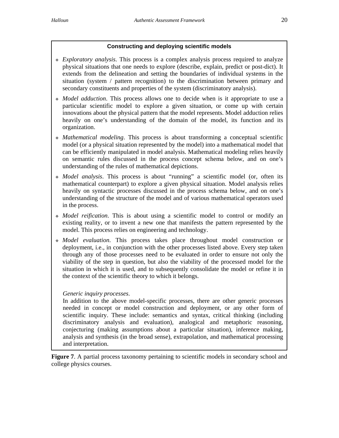# **Constructing and deploying scientific models**

- *Exploratory analysis*. This process is a complex analysis process required to analyze physical situations that one needs to explore (describe, explain, predict or post-dict). It extends from the delineation and setting the boundaries of individual systems in the situation (system / pattern recognition) to the discrimination between primary and secondary constituents and properties of the system (discriminatory analysis).
- *Model adduction*. This process allows one to decide when is it appropriate to use a particular scientific model to explore a given situation, or come up with certain innovations about the physical pattern that the model represents. Model adduction relies heavily on one's understanding of the domain of the model, its function and its organization.
- *Mathematical modeling*. This process is about transforming a conceptual scientific model (or a physical situation represented by the model) into a mathematical model that can be efficiently manipulated in model analysis. Mathematical modeling relies heavily on semantic rules discussed in the process concept schema below, and on one's understanding of the rules of mathematical depictions.
- *Model analysis*. This process is about "running" a scientific model (or, often its mathematical counterpart) to explore a given physical situation. Model analysis relies heavily on syntactic processes discussed in the process schema below, and on one's understanding of the structure of the model and of various mathematical operators used in the process.
- *Model reification*. This is about using a scientific model to control or modify an existing reality, or to invent a new one that manifests the pattern represented by the model. This process relies on engineering and technology.
- *Model evaluation*. This process takes place throughout model construction or deployment, i.e., in conjunction with the other processes listed above. Every step taken through any of those processes need to be evaluated in order to ensure not only the viability of the step in question, but also the viability of the processed model for the situation in which it is used, and to subsequently consolidate the model or refine it in the context of the scientific theory to which it belongs.

# *Generic inquiry processes*.

In addition to the above model-specific processes, there are other generic processes needed in concept or model construction and deployment, or any other form of scientific inquiry. These include: semantics and syntax, critical thinking (including discriminatory analysis and evaluation), analogical and metaphoric reasoning, conjecturing (making assumptions about a particular situation), inference making, analysis and synthesis (in the broad sense), extrapolation, and mathematical processing and interpretation.

**Figure 7.** A partial process taxonomy pertaining to scientific models in secondary school and college physics courses.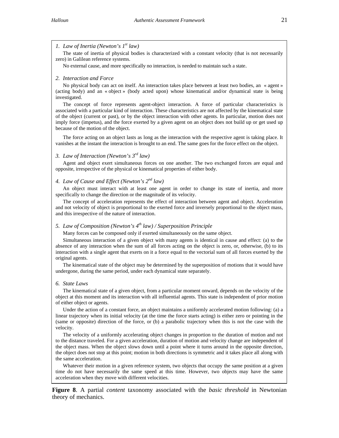# 1. Law of Inertia (Newton's  $I^{st}$  law)

 The state of inertia of physical bodies is characterized with a constant velocity (that is not necessarily zero) in Galilean reference systems.

No external cause, and more specifically no interaction, is needed to maintain such a state.

#### *2. Interaction and Force*

No physical body can act on itself. An interaction takes place between at least two bodies, an « agent » (acting body) and an « object » (body acted upon) whose kinematical and/or dynamical state is being investigated.

The concept of force represents agent-object interaction. A force of particular characteristics is associated with a particular kind of interaction. These characteristics are not affected by the kinematical state of the object (current or past), or by the object interaction with other agents. In particular, motion does not imply force (impetus), and the force exerted by a given agent on an object does not build up or get used up because of the motion of the object.

 The force acting on an object lasts as long as the interaction with the respective agent is taking place. It vanishes at the instant the interaction is brought to an end. The same goes for the force effect on the object.

#### *3. Law of Interaction (Newton's 3rd law)*

Agent and object exert simultaneous forces on one another. The two exchanged forces are equal and opposite, irrespective of the physical or kinematical properties of either body.

#### *4. Law of Cause and Effect (Newton's 2nd law)*

An object must interact with at least one agent in order to change its state of inertia, and more specifically to change the direction or the magnitude of its velocity.

 The concept of acceleration represents the effect of interaction between agent and object. Acceleration and not velocity of object is proportional to the exerted force and inversely proportional to the object mass, and this irrespective of the nature of interaction.

#### *5. Law of Composition (Newton's 4th law) / Superposition Principle*

Many forces can be composed only if exerted simultaneously on the same object.

 Simultaneous interaction of a given object with many agents is identical in cause and effect: (a) to the absence of any interaction when the sum of all forces acting on the object is zero, or, otherwise, (b) to its interaction with a single agent that exerts on it a force equal to the vectorial sum of all forces exerted by the original agents.

 The kinematical state of the object may be determined by the superposition of motions that it would have undergone, during the same period, under each dynamical state separately.

#### *6. State Laws*

The kinematical state of a given object, from a particular moment onward, depends on the velocity of the object at this moment and its interaction with all influential agents. This state is independent of prior motion of either object or agents.

 Under the action of a constant force, an object maintains a uniformly accelerated motion following: (a) a linear trajectory when its initial velocity (at the time the force starts acting) is either zero or pointing in the (same or opposite) direction of the force, or (b) a parabolic trajectory when this is not the case with the velocity.

 The velocity of a uniformly accelerating object changes in proportion to the duration of motion and not to the distance traveled. For a given acceleration, duration of motion and velocity change are independent of the object mass. When the object slows down until a point where it turns around in the opposite direction, the object does not stop at this point; motion in both directions is symmetric and it takes place all along with the same acceleration.

Whatever their motion in a given reference system, two objects that occupy the same position at a given time do not have necessarily the same speed at this time. However, two objects may have the same acceleration when they move with different velocities.

**Figure 8**. A partial *content* taxonomy associated with the *basic threshold* in Newtonian theory of mechanics.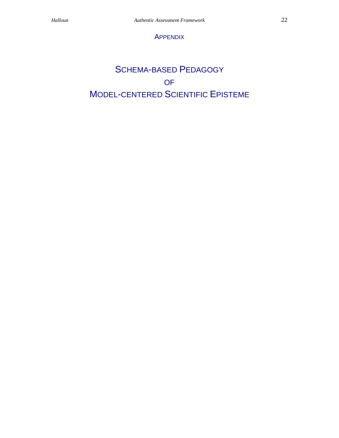# **APPENDIX**

# SCHEMA-BASED PEDAGOGY OF MODEL-CENTERED SCIENTIFIC EPISTEME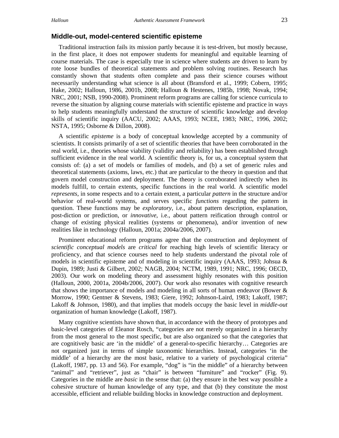Traditional instruction fails its mission partly because it is test-driven, but mostly because, in the first place, it does not empower students for meaningful and equitable learning of course materials. The case is especially true in science where students are driven to learn by rote loose bundles of theoretical statements and problem solving routines. Research has constantly shown that students often complete and pass their science courses without necessarily understanding what science is all about (Bransford et al., 1999; Cobern, 1995; Hake, 2002; Halloun, 1986, 2001b, 2008; Halloun & Hestenes, 1985b, 1998; Novak, 1994; NRC, 2001; NSB, 1990-2008). Prominent reform programs are calling for science curricula to reverse the situation by aligning course materials with scientific episteme and practice in ways to help students meaningfully understand the structure of scientific knowledge and develop skills of scientific inquiry (AACU, 2002; AAAS, 1993; NCEE, 1983; NRC, 1996, 2002; NSTA, 1995; Osborne & Dillon, 2008).

 A scientific *episteme* is a body of conceptual knowledge accepted by a community of scientists. It consists primarily of a set of scientific theories that have been corroborated in the real world, i.e., theories whose viability (validity and reliability) has been established through sufficient evidence in the real world. A scientific theory is, for us, a conceptual system that consists of: (a) a set of models or families of models, and (b) a set of generic rules and theoretical statements (axioms, laws, etc.) that are particular to the theory in question and that govern model construction and deployment. The theory is corroborated indirectly when its models fulfill, to certain extents, specific functions in the real world. A scientific model *represents*, in some respects and to a certain extent, a particular *pattern* in the structure and/or behavior of real-world systems, and serves specific *functions* regarding the pattern in question. These functions may be *exploratory*, i.e., about pattern description, explanation, post-diction or prediction, or *innovative*, i.e., about pattern reification through control or change of existing physical realities (systems or phenomena), and/or invention of new realities like in technology (Halloun, 2001a; 2004a/2006, 2007).

 Prominent educational reform programs agree that the construction and deployment of *scientific conceptual models* are *critical* for reaching high levels of scientific literacy or proficiency, and that science courses need to help students understand the pivotal role of models in scientific episteme and of modeling in scientific inquiry (AAAS, 1993; Johsua & Dupin, 1989; Justi & Gilbert, 2002; NAGB, 2004; NCTM, 1989, 1991; NRC, 1996; OECD, 2003). Our work on modeling theory and assessment highly resonates with this position (Halloun, 2000, 2001a, 2004b/2006, 2007). Our work also resonates with cognitive research that shows the importance of models and modeling in all sorts of human endeavor (Bower & Morrow, 1990; Gentner & Stevens, 1983; Giere, 1992; Johnson-Laird, 1983; Lakoff, 1987; Lakoff & Johnson, 1980), and that implies that models occupy the basic level in *middle-out* organization of human knowledge (Lakoff, 1987).

 Many cognitive scientists have shown that, in accordance with the theory of prototypes and basic-level categories of Eleanor Rosch, "categories are not merely organized in a hierarchy from the most general to the most specific, but are also organized so that the categories that are cognitively basic are 'in the middle' of a general-to-specific hierarchy… Categories are not organized just in terms of simple taxonomic hierarchies. Instead, categories 'in the middle' of a hierarchy are the most basic, relative to a variety of psychological criteria" (Lakoff, 1987, pp. 13 and 56). For example, "dog" is "in the middle" of a hierarchy between "animal" and "retriever", just as "chair" is between "furniture" and "rocker" (Fig. 9). Categories in the middle are *basic* in the sense that: (a) they ensure in the best way possible a cohesive structure of human knowledge of any type, and that (b) they constitute the most accessible, efficient and reliable building blocks in knowledge construction and deployment.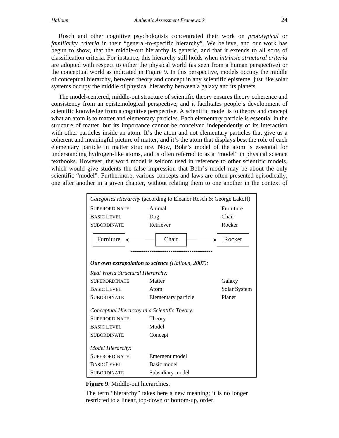Rosch and other cognitive psychologists concentrated their work on *prototypical* or *familiarity criteria* in their "general-to-specific hierarchy". We believe, and our work has begun to show, that the middle-out hierarchy is generic, and that it extends to all sorts of classification criteria. For instance, this hierarchy still holds when *intrinsic structural criteria* are adopted with respect to either the physical world (as seen from a human perspective) or the conceptual world as indicated in Figure 9. In this perspective, models occupy the middle of conceptual hierarchy, between theory and concept in any scientific episteme, just like solar systems occupy the middle of physical hierarchy between a galaxy and its planets.

 The model-centered, middle-out structure of scientific theory ensures theory coherence and consistency from an epistemological perspective, and it facilitates people's development of scientific knowledge from a cognitive perspective. A scientific model is to theory and concept what an atom is to matter and elementary particles. Each elementary particle is essential in the structure of matter, but its importance cannot be conceived independently of its interaction with other particles inside an atom. It's the atom and not elementary particles that give us a coherent and meaningful picture of matter, and it's the atom that displays best the role of each elementary particle in matter structure. Now, Bohr's model of the atom is essential for understanding hydrogen-like atoms, and is often referred to as a "model" in physical science textbooks. However, the word model is seldom used in reference to other scientific models, which would give students the false impression that Bohr's model may be about the only scientific "model". Furthermore, various concepts and laws are often presented episodically, one after another in a given chapter, without relating them to one another in the context of



**Figure 9**. Middle-out hierarchies.

The term "hierarchy" takes here a new meaning; it is no longer restricted to a linear, top-down or bottom-up, order.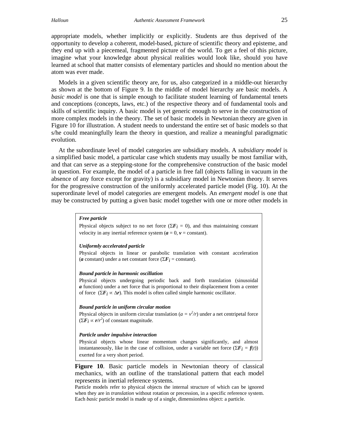appropriate models, whether implicitly or explicitly. Students are thus deprived of the opportunity to develop a coherent, model-based, picture of scientific theory and episteme, and they end up with a piecemeal, fragmented picture of the world. To get a feel of this picture, imagine what your knowledge about physical realities would look like, should you have learned at school that matter consists of elementary particles and should no mention about the atom was ever made.

 Models in a given scientific theory are, for us, also categorized in a middle-out hierarchy as shown at the bottom of Figure 9. In the middle of model hierarchy are basic models. A *basic model* is one that is simple enough to facilitate student learning of fundamental tenets and conceptions (concepts, laws, etc.) of the respective theory and of fundamental tools and skills of scientific inquiry. A basic model is yet generic enough to serve in the construction of more complex models in the theory. The set of basic models in Newtonian theory are given in Figure 10 for illustration. A student needs to understand the entire set of basic models so that s/he could meaningfully learn the theory in question, and realize a meaningful paradigmatic evolution.

 At the subordinate level of model categories are subsidiary models. A *subsidiary model* is a simplified basic model, a particular case which students may usually be most familiar with, and that can serve as a stepping-stone for the comprehensive construction of the basic model in question. For example, the model of a particle in free fall (objects falling in vacuum in the absence of any force except for gravity) is a subsidiary model in Newtonian theory. It serves for the progressive construction of the uniformly accelerated particle model (Fig. 10). At the superordinate level of model categories are emergent models. An *emergent model* is one that may be constructed by putting a given basic model together with one or more other models in

#### *Free particle*

Physical objects subject to no net force ( $\Sigma F_i = 0$ ), and thus maintaining constant velocity in any inertial reference system  $(a = 0, v = constant)$ .

#### *Uniformly accelerated particle*

Physical objects in linear or parabolic translation with constant acceleration (*a* constant) under a net constant force ( $\Sigma F_i$  = constant).

#### *Bound particle in harmonic oscillation*

Physical objects undergoing periodic back and forth translation (sinusoidal *a* function) under a net force that is proportional to their displacement from a center of force  $(\Sigma F_i \propto \Delta r)$ . This model is often called simple harmonic oscillator.

#### *Bound particle in uniform circular motion*

Physical objects in uniform circular translation ( $a = v^2/r$ ) under a net centripetal force  $(\Sigma \vec{F}_i \propto r/r^2)$  of constant magnitude.

#### *Particle under impulsive interaction*

Physical objects whose linear momentum changes significantly, and almost instantaneously, like in the case of collision, under a variable net force  $(\Sigma F_i = f(t))$ exerted for a very short period.

**Figure 10**. Basic particle models in Newtonian theory of classical mechanics, with an outline of the translational pattern that each model represents in inertial reference systems.

Particle models refer to physical objects the internal structure of which can be ignored when they are in *translation* without rotation or precession, in a specific reference system. Each *basic* particle model is made up of a single, dimensionless object: a particle.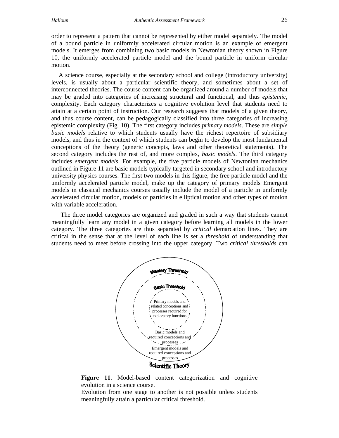order to represent a pattern that cannot be represented by either model separately. The model of a bound particle in uniformly accelerated circular motion is an example of emergent models. It emerges from combining two basic models in Newtonian theory shown in Figure 10, the uniformly accelerated particle model and the bound particle in uniform circular motion.

 A science course, especially at the secondary school and college (introductory university) levels, is usually about a particular scientific theory, and sometimes about a set of interconnected theories. The course content can be organized around a number of models that may be graded into categories of increasing structural and functional, and thus *epistemic*, complexity. Each category characterizes a cognitive evolution level that students need to attain at a certain point of instruction. Our research suggests that models of a given theory, and thus course content, can be pedagogically classified into three categories of increasing epistemic complexity (Fig. 10). The first category includes *primary models*. These are *simple basic models* relative to which students usually have the richest repertoire of subsidiary models, and thus in the context of which students can begin to develop the most fundamental conceptions of the theory (generic concepts, laws and other theoretical statements). The second category includes the rest of, and more complex, *basic models*. The third category includes *emergent models*. For example, the five particle models of Newtonian mechanics outlined in Figure 11 are basic models typically targeted in secondary school and introductory university physics courses. The first two models in this figure, the free particle model and the uniformly accelerated particle model, make up the category of primary models Emergent models in classical mechanics courses usually include the model of a particle in uniformly accelerated circular motion, models of particles in elliptical motion and other types of motion with variable acceleration.

 The three model categories are organized and graded in such a way that students cannot meaningfully learn any model in a given category before learning all models in the lower category. The three categories are thus separated by *critical* demarcation lines. They are critical in the sense that at the level of each line is set a *threshold* of understanding that students need to meet before crossing into the upper category. Two *critical thresholds* can



**Figure 11**. Model-based content categorization and cognitive evolution in a science course.

Evolution from one stage to another is not possible unless students meaningfully attain a particular critical threshold.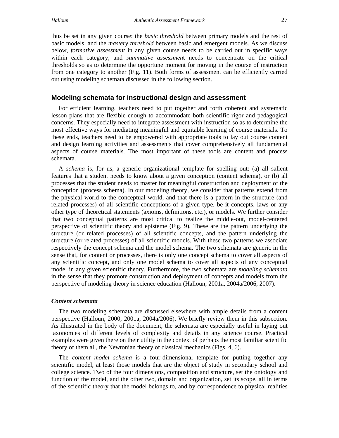thus be set in any given course: the *basic threshold* between primary models and the rest of basic models, and the *mastery threshold* between basic and emergent models. As we discuss below, *formative assessment* in any given course needs to be carried out in specific ways within each category, and *summative assessmen*t needs to concentrate on the critical thresholds so as to determine the opportune moment for moving in the course of instruction from one category to another (Fig. 11). Both forms of assessment can be efficiently carried out using modeling schemata discussed in the following section.

#### **Modeling schemata for instructional design and assessment**

 For efficient learning, teachers need to put together and forth coherent and systematic lesson plans that are flexible enough to accommodate both scientific rigor and pedagogical concerns. They especially need to integrate assessment with instruction so as to determine the most effective ways for mediating meaningful and equitable learning of course materials. To these ends, teachers need to be empowered with appropriate tools to lay out course content and design learning activities and assessments that cover comprehensively all fundamental aspects of course materials. The most important of these tools are content and process schemata.

 A *schema* is, for us, a generic organizational template for spelling out: (a) all salient features that a student needs to know about a given conception (content schema), or (b) all processes that the student needs to master for meaningful construction and deployment of the conception (process schema). In our modeling theory, we consider that patterns extend from the physical world to the conceptual world, and that there is a pattern in the structure (and related processes) of all scientific conceptions of a given type, be it concepts, laws or any other type of theoretical statements (axioms, definitions, etc.), or models. We further consider that two conceptual patterns are most critical to realize the middle-out, model-centered perspective of scientific theory and episteme (Fig. 9). These are the pattern underlying the structure (or related processes) of all scientific concepts, and the pattern underlying the structure (or related processes) of all scientific models. With these two patterns we associate respectively the concept schema and the model schema. The two schemata are generic in the sense that, for content or processes, there is only one concept schema to cover all aspects of any scientific concept, and only one model schema to cover all aspects of any conceptual model in any given scientific theory. Furthermore, the two schemata are *modeling schemata* in the sense that they promote construction and deployment of concepts and models from the perspective of modeling theory in science education (Halloun, 2001a, 2004a/2006, 2007).

#### *Content schemata*

 The two modeling schemata are discussed elsewhere with ample details from a content perspective (Halloun, 2000, 2001a, 2004a/2006). We briefly review them in this subsection. As illustrated in the body of the document, the schemata are especially useful in laying out taxonomies of different levels of complexity and details in any science course. Practical examples were given there on their utility in the context of perhaps the most familiar scientific theory of them all, the Newtonian theory of classical mechanics (Figs. 4, 6).

 The *content model schema* is a four-dimensional template for putting together any scientific model, at least those models that are the object of study in secondary school and college science. Two of the four dimensions, composition and structure, set the ontology and function of the model, and the other two, domain and organization, set its scope, all in terms of the scientific theory that the model belongs to, and by correspondence to physical realities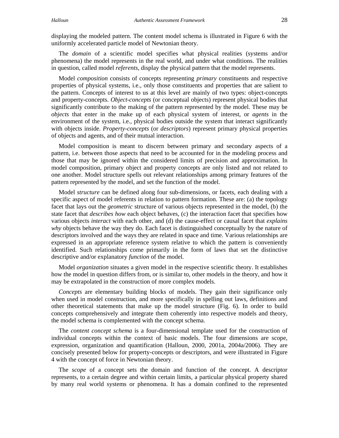displaying the modeled pattern. The content model schema is illustrated in Figure 6 with the uniformly accelerated particle model of Newtonian theory.

 The *domain* of a scientific model specifies what physical realities (systems and/or phenomena) the model represents in the real world, and under what conditions. The realities in question, called model *referents*, display the physical pattern that the model represents.

 Model *composition* consists of concepts representing *primary* constituents and respective properties of physical systems, i.e., only those constituents and properties that are salient to the pattern. Concepts of interest to us at this level are mainly of two types: object-concepts and property-concepts. *Object-concepts* (or conceptual objects) represent physical bodies that significantly contribute to the making of the pattern represented by the model. These may be *objects* that enter in the make up of each physical system of interest, or *agents* in the environment of the system, i.e., physical bodies outside the system that interact significantly with objects inside. *Property-concepts* (or *descriptors*) represent primary physical properties of objects and agents, and of their mutual interaction.

 Model composition is meant to discern between primary and secondary aspects of a pattern, i.e. between those aspects that need to be accounted for in the modeling process and those that may be ignored within the considered limits of precision and approximation. In model composition, primary object and property concepts are only listed and not related to one another. Model structure spells out relevant relationships among primary features of the pattern represented by the model, and set the function of the model.

 Model *structure* can be defined along four sub-dimensions, or facets, each dealing with a specific aspect of model referents in relation to pattern formation. These are: (a) the topology facet that lays out the *geometric* structure of various objects represented in the model, (b) the state facet that *describes how* each object behaves, (c) the interaction facet that specifies how various objects *interact* with each other, and (d) the cause-effect or causal facet that *explains why* objects behave the way they do. Each facet is distinguished conceptually by the nature of descriptors involved and the ways they are related in space and time. Various relationships are expressed in an appropriate reference system relative to which the pattern is conveniently identified. Such relationships come primarily in the form of laws that set the distinctive descriptive and/or explanatory *function* of the model.

 Model *organization* situates a given model in the respective scientific theory. It establishes how the model in question differs from, or is similar to, other models in the theory, and how it may be extrapolated in the construction of more complex models.

*Concepts* are elementary building blocks of models. They gain their significance only when used in model construction, and more specifically in spelling out laws, definitions and other theoretical statements that make up the model structure (Fig. 6). In order to build concepts comprehensively and integrate them coherently into respective models and theory, the model schema is complemented with the concept schema.

 The *content concept schema* is a four-dimensional template used for the construction of individual concepts within the context of basic models. The four dimensions are scope, expression, organization and quantification (Halloun, 2000, 2001a, 2004a/2006). They are concisely presented below for property-concepts or descriptors, and were illustrated in Figure 4 with the concept of force in Newtonian theory.

 The *scope* of a concept sets the domain and function of the concept. A descriptor represents, to a certain degree and within certain limits, a particular physical property shared by many real world systems or phenomena. It has a domain confined to the represented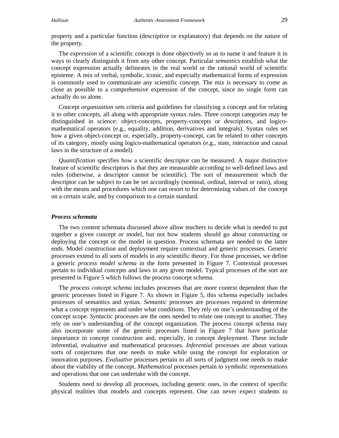property and a particular function (descriptive or explanatory) that depends on the nature of the property.

 The *expression* of a scientific concept is done objectively so as to name it and feature it in ways to clearly distinguish it from any other concept. Particular *semantics* establish what the concept expression actually delineates in the real world or the rational world of scientific episteme. A mix of verbal, symbolic, iconic, and especially mathematical forms of expression is commonly used to communicate any scientific concept. The mix is necessary to come as close as possible to a comprehensive expression of the concept, since no single form can actually do so alone.

 Concept *organization* sets criteria and guidelines for classifying a concept and for relating it to other concepts, all along with appropriate syntax rules. Three concept categories may be distinguished in science: object-concepts, property-concepts or descriptors, and logicomathematical operators (e.g., equality, addition, derivatives and integrals). Syntax rules set how a given object-concept or, especially, property-concept, can be related to other concepts of its category, mostly using logico-mathematical operators (e.g., state, interaction and causal laws in the structure of a model).

*Quantification* specifies how a scientific descriptor can be measured. A major distinctive feature of scientific descriptors is that they are measurable according to well-defined laws and rules (otherwise, a descriptor cannot be scientific). The sort of measurement which the descriptor can be subject to can be set accordingly (nominal, ordinal, interval or ratio), along with the means and procedures which one can resort to for determining values of the concept on a certain scale, and by comparison to a certain standard.

#### *Process schemata*

 The two content schemata discussed above allow teachers to decide what is needed to put together a given concept or model, but not how students should go about constructing or deploying the concept or the model in question. Process schemata are needed to the latter ends. Model construction and deployment require contextual and generic processes. Generic processes extend to all sorts of models in any scientific theory. For those processes, we define a generic *process model schema* in the form presented in Figure 7. Contextual processes pertain to individual concepts and laws in any given model. Typical processes of the sort are presented in Figure 5 which follows the process concept schema.

 The *process concept schema* includes processes that are more context dependent than the generic processes listed in Figure 7. As shown in Figure 5, this schema especially includes processes of semantics and syntax. *Semantic* processes are processes required to determine what a concept represents and under what conditions. They rely on one's understanding of the concept scope. *Syntactic* processes are the ones needed to relate one concept to another. They rely on one's understanding of the concept organization. The process concept schema may also incorporate some of the generic processes listed in Figure 7 that have particular importance in concept construction and, especially, in concept deployment. These include inferential, evaluative and mathematical processes. *Inferential* processes are about various sorts of conjectures that one needs to make while using the concept for exploration or innovation purposes. *Evaluative* processes pertain to all sorts of judgment one needs to make about the viability of the concept. *Mathematical* processes pertain to symbolic representations and operations that one can undertake with the concept.

 Students need to develop all processes, including generic ones, in the context of specific physical realities that models and concepts represent. One can never expect students to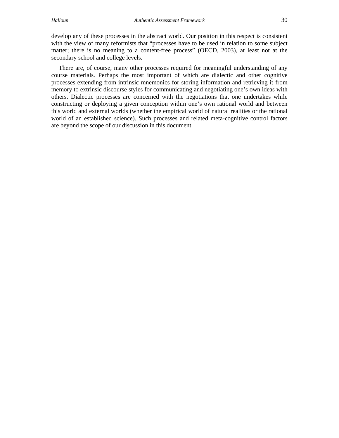develop any of these processes in the abstract world. Our position in this respect is consistent with the view of many reformists that "processes have to be used in relation to some subject matter; there is no meaning to a content-free process" (OECD, 2003), at least not at the secondary school and college levels.

 There are, of course, many other processes required for meaningful understanding of any course materials. Perhaps the most important of which are dialectic and other cognitive processes extending from intrinsic mnemonics for storing information and retrieving it from memory to extrinsic discourse styles for communicating and negotiating one's own ideas with others. Dialectic processes are concerned with the negotiations that one undertakes while constructing or deploying a given conception within one's own rational world and between this world and external worlds (whether the empirical world of natural realities or the rational world of an established science). Such processes and related meta-cognitive control factors are beyond the scope of our discussion in this document.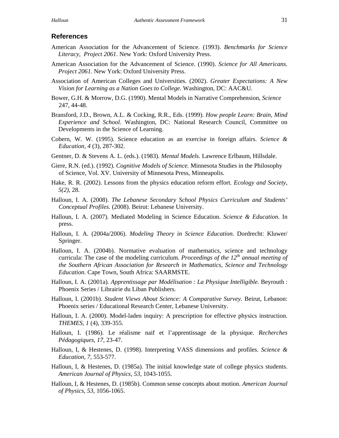- American Association for the Advancement of Science. (1993). *Benchmarks for Science Literacy, Project 2061*. New York: Oxford University Press.
- American Association for the Advancement of Science. (1990). *Science for All Americans. Project 2061*. New York: Oxford University Press.
- Association of American Colleges and Universities. (2002). *Greater Expectations: A New Vision for Learning as a Nation Goes to College.* Washington, DC: AAC&U.
- Bower, G.H. & Morrow, D.G. (1990). Mental Models in Narrative Comprehension, *Science*  247, 44-48.
- Bransford, J.D., Brown, A.L. & Cocking, R.R., Eds. (1999). *How people Learn: Brain, Mind Experience and School.* Washington, DC: National Research Council, Committee on Developments in the Science of Learning.
- Cobern, W. W. (1995). Science education as an exercise in foreign affairs. *Science & Education, 4* (3), 287-302.
- Gentner, D. & Stevens A. L. (eds.). (1983). *Mental Models.* Lawrence Erlbaum, Hillsdale.
- Giere, R.N. (ed.). (1992). *Cognitive Models of Science.* Minnesota Studies in the Philosophy of Science, Vol. XV. University of Minnesota Press, Minneapolis.
- Hake, R. R. (2002). Lessons from the physics education reform effort. *Ecology and Society, 5(2)*, 28.
- Halloun, I. A. (2008). *The Lebanese Secondary School Physics Curriculum and Students' Conceptual Profiles*. (2008). Beirut: Lebanese University.
- Halloun, I. A. (2007). Mediated Modeling in Science Education. *Science & Education*. In press.
- Halloun, I. A. (2004a/2006). *Modeling Theory in Science Education.* Dordrecht: Kluwer/ Springer.
- Halloun, I. A. (2004b). Normative evaluation of mathematics, science and technology curricula: The case of the modeling curriculum. *Proceedings of the 12<sup>th</sup> annual meeting of the Southern African Association for Research in Mathematics, Science and Technology Education*. Cape Town, South Africa: SAARMSTE.
- Halloun, I. A. (2001a). *Apprentissage par Modélisation : La Physique Intelligible.* Beyrouth : Phoenix Series / Librairie du Liban Publishers.
- Halloun, I. (2001b). *Student Views About Science: A Comparative Survey.* Beirut, Lebanon: Phoenix series / Educational Research Center, Lebanese University.
- Halloun, I. A. (2000). Model-laden inquiry: A prescription for effective physics instruction. *THEMES, 1* (4), 339-355.
- Halloun, I. (1986). Le réalisme naif et l'apprentissage de la physique. *Recherches Pédagogiques, 17,* 23-47.
- Halloun, I, & Hestenes, D. (1998). Interpreting VASS dimensions and profiles. *Science & Education, 7*, 553-577.
- Halloun, I, & Hestenes, D. (1985a). The initial knowledge state of college physics students. *American Journal of Physics, 53,* 1043-1055.
- Halloun, I, & Hestenes, D. (1985b). Common sense concepts about motion. *American Journal of Physics, 53,* 1056-1065.